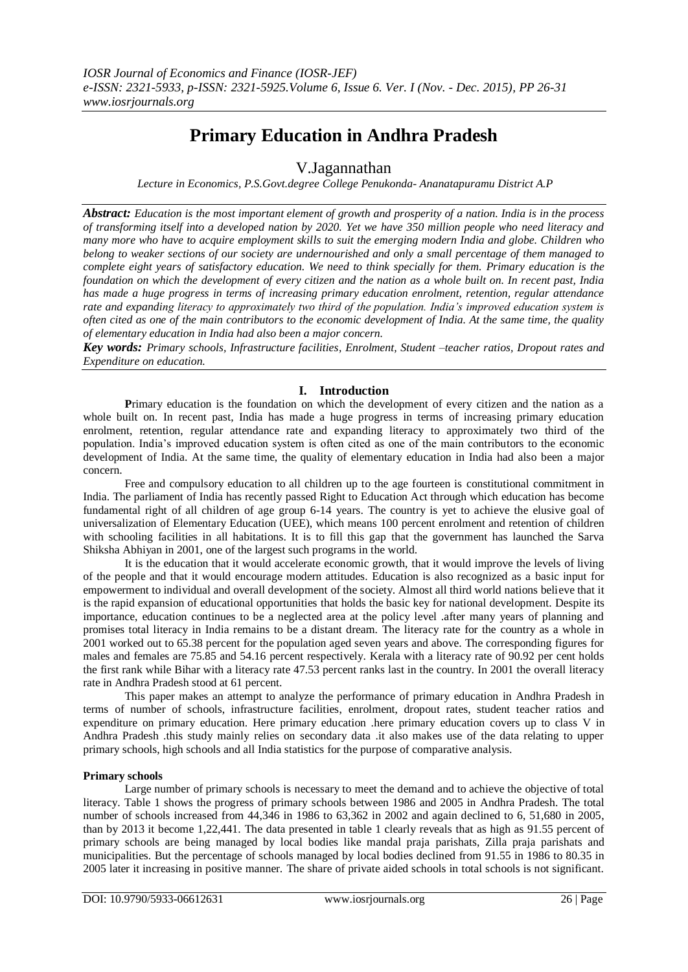# **Primary Education in Andhra Pradesh**

V.Jagannathan

*Lecture in Economics, P.S.Govt.degree College Penukonda- Ananatapuramu District A.P*

*Abstract: Education is the most important element of growth and prosperity of a nation. India is in the process of transforming itself into a developed nation by 2020. Yet we have 350 million people who need literacy and many more who have to acquire employment skills to suit the emerging modern India and globe. Children who belong to weaker sections of our society are undernourished and only a small percentage of them managed to complete eight years of satisfactory education. We need to think specially for them. Primary education is the foundation on which the development of every citizen and the nation as a whole built on. In recent past, India has made a huge progress in terms of increasing primary education enrolment, retention, regular attendance rate and expanding literacy to approximately two third of the population. India's improved education system is often cited as one of the main contributors to the economic development of India. At the same time, the quality of elementary education in India had also been a major concern.*

*Key words: Primary schools, Infrastructure facilities, Enrolment, Student –teacher ratios, Dropout rates and Expenditure on education.*

## **I. Introduction**

**P**rimary education is the foundation on which the development of every citizen and the nation as a whole built on. In recent past, India has made a huge progress in terms of increasing primary education enrolment, retention, regular attendance rate and expanding literacy to approximately two third of the population. India's improved education system is often cited as one of the main contributors to the economic development of India. At the same time, the quality of elementary education in India had also been a major concern.

Free and compulsory education to all children up to the age fourteen is constitutional commitment in India. The parliament of India has recently passed Right to Education Act through which education has become fundamental right of all children of age group 6-14 years. The country is yet to achieve the elusive goal of universalization of Elementary Education (UEE), which means 100 percent enrolment and retention of children with schooling facilities in all habitations. It is to fill this gap that the government has launched the Sarva Shiksha Abhiyan in 2001, one of the largest such programs in the world.

It is the education that it would accelerate economic growth, that it would improve the levels of living of the people and that it would encourage modern attitudes. Education is also recognized as a basic input for empowerment to individual and overall development of the society. Almost all third world nations believe that it is the rapid expansion of educational opportunities that holds the basic key for national development. Despite its importance, education continues to be a neglected area at the policy level .after many years of planning and promises total literacy in India remains to be a distant dream. The literacy rate for the country as a whole in 2001 worked out to 65.38 percent for the population aged seven years and above. The corresponding figures for males and females are 75.85 and 54.16 percent respectively. Kerala with a literacy rate of 90.92 per cent holds the first rank while Bihar with a literacy rate 47.53 percent ranks last in the country. In 2001 the overall literacy rate in Andhra Pradesh stood at 61 percent.

This paper makes an attempt to analyze the performance of primary education in Andhra Pradesh in terms of number of schools, infrastructure facilities, enrolment, dropout rates, student teacher ratios and expenditure on primary education. Here primary education .here primary education covers up to class V in Andhra Pradesh .this study mainly relies on secondary data .it also makes use of the data relating to upper primary schools, high schools and all India statistics for the purpose of comparative analysis.

## **Primary schools**

Large number of primary schools is necessary to meet the demand and to achieve the objective of total literacy. Table 1 shows the progress of primary schools between 1986 and 2005 in Andhra Pradesh. The total number of schools increased from 44,346 in 1986 to 63,362 in 2002 and again declined to 6, 51,680 in 2005, than by 2013 it become 1,22,441. The data presented in table 1 clearly reveals that as high as 91.55 percent of primary schools are being managed by local bodies like mandal praja parishats, Zilla praja parishats and municipalities. But the percentage of schools managed by local bodies declined from 91.55 in 1986 to 80.35 in 2005 later it increasing in positive manner. The share of private aided schools in total schools is not significant.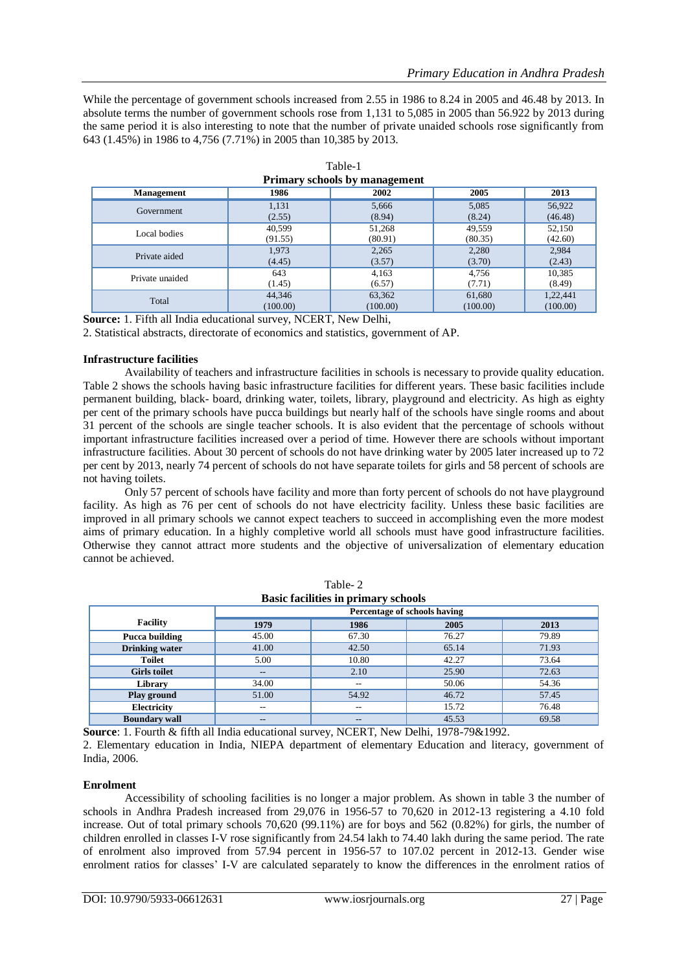While the percentage of government schools increased from 2.55 in 1986 to 8.24 in 2005 and 46.48 by 2013. In absolute terms the number of government schools rose from 1,131 to 5,085 in 2005 than 56.922 by 2013 during the same period it is also interesting to note that the number of private unaided schools rose significantly from 643 (1.45%) in 1986 to 4,756 (7.71%) in 2005 than 10,385 by 2013.

| Primary schools by management                     |          |          |          |          |  |  |  |
|---------------------------------------------------|----------|----------|----------|----------|--|--|--|
| 1986<br>2002<br>2005<br>2013<br><b>Management</b> |          |          |          |          |  |  |  |
| Government                                        | 1,131    | 5,666    | 5,085    | 56,922   |  |  |  |
|                                                   | (2.55)   | (8.94)   | (8.24)   | (46.48)  |  |  |  |
| Local bodies                                      | 40,599   | 51,268   | 49,559   | 52,150   |  |  |  |
|                                                   | (91.55)  | (80.91)  | (80.35)  | (42.60)  |  |  |  |
| Private aided                                     | 1,973    | 2,265    | 2,280    | 2,984    |  |  |  |
|                                                   | (4.45)   | (3.57)   | (3.70)   | (2.43)   |  |  |  |
| Private unaided                                   | 643      | 4,163    | 4,756    | 10,385   |  |  |  |
|                                                   | (1.45)   | (6.57)   | (7.71)   | (8.49)   |  |  |  |
| Total                                             | 44,346   | 63,362   | 61,680   | 1,22,441 |  |  |  |
|                                                   | (100.00) | (100.00) | (100.00) | (100.00) |  |  |  |

| Table-1                              |
|--------------------------------------|
| <b>Primary schools by management</b> |

**Source:** 1. Fifth all India educational survey, NCERT, New Delhi,

2. Statistical abstracts, directorate of economics and statistics, government of AP.

## **Infrastructure facilities**

Availability of teachers and infrastructure facilities in schools is necessary to provide quality education. Table 2 shows the schools having basic infrastructure facilities for different years. These basic facilities include permanent building, black- board, drinking water, toilets, library, playground and electricity. As high as eighty per cent of the primary schools have pucca buildings but nearly half of the schools have single rooms and about 31 percent of the schools are single teacher schools. It is also evident that the percentage of schools without important infrastructure facilities increased over a period of time. However there are schools without important infrastructure facilities. About 30 percent of schools do not have drinking water by 2005 later increased up to 72 per cent by 2013, nearly 74 percent of schools do not have separate toilets for girls and 58 percent of schools are not having toilets.

Only 57 percent of schools have facility and more than forty percent of schools do not have playground facility. As high as 76 per cent of schools do not have electricity facility. Unless these basic facilities are improved in all primary schools we cannot expect teachers to succeed in accomplishing even the more modest aims of primary education. In a highly completive world all schools must have good infrastructure facilities. Otherwise they cannot attract more students and the objective of universalization of elementary education cannot be achieved.

| Dasit facilities in primary schools |                   |                   |                              |       |  |  |
|-------------------------------------|-------------------|-------------------|------------------------------|-------|--|--|
|                                     |                   |                   | Percentage of schools having |       |  |  |
| <b>Facility</b>                     | 1979              | 1986              | 2005                         | 2013  |  |  |
| Pucca building                      | 45.00             | 67.30             | 76.27                        | 79.89 |  |  |
| <b>Drinking water</b>               | 41.00             | 42.50             | 65.14                        | 71.93 |  |  |
| <b>Toilet</b>                       | 5.00              | 10.80             | 42.27                        | 73.64 |  |  |
| <b>Girls toilet</b>                 | $\qquad \qquad -$ | 2.10              | 25.90                        | 72.63 |  |  |
| Library                             | 34.00             | --                | 50.06                        | 54.36 |  |  |
| Play ground                         | 51.00             | 54.92             | 46.72                        | 57.45 |  |  |
| Electricity                         | $\hspace{0.05cm}$ | $- -$             | 15.72                        | 76.48 |  |  |
| <b>Boundary wall</b>                | $\qquad \qquad -$ | $\qquad \qquad -$ | 45.53                        | 69.58 |  |  |

|                                            | Table-2 |  |
|--------------------------------------------|---------|--|
| <b>Basic facilities in primary schools</b> |         |  |

**Source**: 1. Fourth & fifth all India educational survey, NCERT, New Delhi, 1978-79&1992.

2. Elementary education in India, NIEPA department of elementary Education and literacy, government of India, 2006.

## **Enrolment**

Accessibility of schooling facilities is no longer a major problem. As shown in table 3 the number of schools in Andhra Pradesh increased from 29,076 in 1956-57 to 70,620 in 2012-13 registering a 4.10 fold increase. Out of total primary schools 70,620 (99.11%) are for boys and 562 (0.82%) for girls, the number of children enrolled in classes I-V rose significantly from 24.54 lakh to 74.40 lakh during the same period. The rate of enrolment also improved from 57.94 percent in 1956-57 to 107.02 percent in 2012-13. Gender wise enrolment ratios for classes' I-V are calculated separately to know the differences in the enrolment ratios of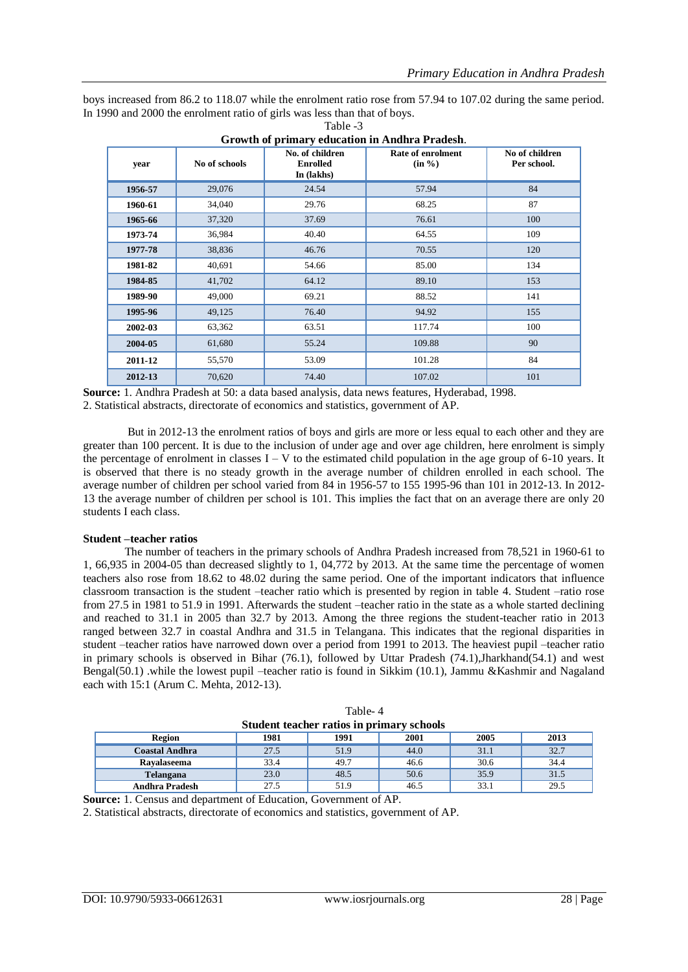boys increased from 86.2 to 118.07 while the enrolment ratio rose from 57.94 to 107.02 during the same period. In 1990 and 2000 the enrolment ratio of girls was less than that of boys. Table -3

| year    | No of schools | No. of children<br><b>Enrolled</b><br>In (lakhs) | Rate of enrolment<br>(in %) | No of children<br>Per school. |
|---------|---------------|--------------------------------------------------|-----------------------------|-------------------------------|
| 1956-57 | 29,076        | 24.54                                            | 57.94                       | 84                            |
| 1960-61 | 34,040        | 29.76                                            | 68.25                       | 87                            |
| 1965-66 | 37,320        | 37.69                                            | 76.61                       | 100                           |
| 1973-74 | 36,984        | 40.40                                            | 64.55                       | 109                           |
| 1977-78 | 38,836        | 46.76                                            | 70.55                       | 120                           |
| 1981-82 | 40,691        | 54.66                                            | 85.00                       | 134                           |
| 1984-85 | 41,702        | 64.12                                            | 89.10                       | 153                           |
| 1989-90 | 49,000        | 69.21                                            | 88.52                       | 141                           |
| 1995-96 | 49,125        | 76.40                                            | 94.92                       | 155                           |
| 2002-03 | 63,362        | 63.51                                            | 117.74                      | 100                           |
| 2004-05 | 61,680        | 55.24                                            | 109.88                      | 90                            |
| 2011-12 | 55,570        | 53.09                                            | 101.28                      | 84                            |
| 2012-13 | 70,620        | 74.40                                            | 107.02                      | 101                           |

| Growth of primary education in Andhra Pradesh. |  |
|------------------------------------------------|--|

**Source:** 1. Andhra Pradesh at 50: a data based analysis, data news features, Hyderabad, 1998. 2. Statistical abstracts, directorate of economics and statistics, government of AP.

But in 2012-13 the enrolment ratios of boys and girls are more or less equal to each other and they are greater than 100 percent. It is due to the inclusion of under age and over age children, here enrolment is simply the percentage of enrolment in classes  $I - V$  to the estimated child population in the age group of 6-10 years. It is observed that there is no steady growth in the average number of children enrolled in each school. The average number of children per school varied from 84 in 1956-57 to 155 1995-96 than 101 in 2012-13. In 2012- 13 the average number of children per school is 101. This implies the fact that on an average there are only 20 students I each class.

## **Student –teacher ratios**

The number of teachers in the primary schools of Andhra Pradesh increased from 78,521 in 1960-61 to 1, 66,935 in 2004-05 than decreased slightly to 1, 04,772 by 2013. At the same time the percentage of women teachers also rose from 18.62 to 48.02 during the same period. One of the important indicators that influence classroom transaction is the student –teacher ratio which is presented by region in table 4. Student –ratio rose from 27.5 in 1981 to 51.9 in 1991. Afterwards the student –teacher ratio in the state as a whole started declining and reached to 31.1 in 2005 than 32.7 by 2013. Among the three regions the student-teacher ratio in 2013 ranged between 32.7 in coastal Andhra and 31.5 in Telangana. This indicates that the regional disparities in student –teacher ratios have narrowed down over a period from 1991 to 2013. The heaviest pupil –teacher ratio in primary schools is observed in Bihar (76.1), followed by Uttar Pradesh (74.1),Jharkhand(54.1) and west Bengal(50.1) .while the lowest pupil –teacher ratio is found in Sikkim (10.1), Jammu &Kashmir and Nagaland each with 15:1 (Arum C. Mehta, 2012-13).

| Student teacher ratios in primary schools             |      |      |      |      |      |  |  |
|-------------------------------------------------------|------|------|------|------|------|--|--|
| 2001<br>2005<br>2013<br>1981<br>1991<br><b>Region</b> |      |      |      |      |      |  |  |
| Coastal Andhra                                        | 27.5 | 51.9 | 44.0 | 31.1 | 32.7 |  |  |
| Ravalaseema                                           | 33.4 | 49.7 | 46.6 | 30.6 | 34.4 |  |  |
| Telangana                                             | 23.0 | 48.5 | 50.6 | 35.9 | 31.5 |  |  |
| <b>Andhra Pradesh</b>                                 | 27.5 | 51.9 | 46.5 | 33.1 | 29.5 |  |  |

| Table-4                                   |  |
|-------------------------------------------|--|
| Student teacher ratios in primary schools |  |

**Source:** 1. Census and department of Education, Government of AP.

2. Statistical abstracts, directorate of economics and statistics, government of AP.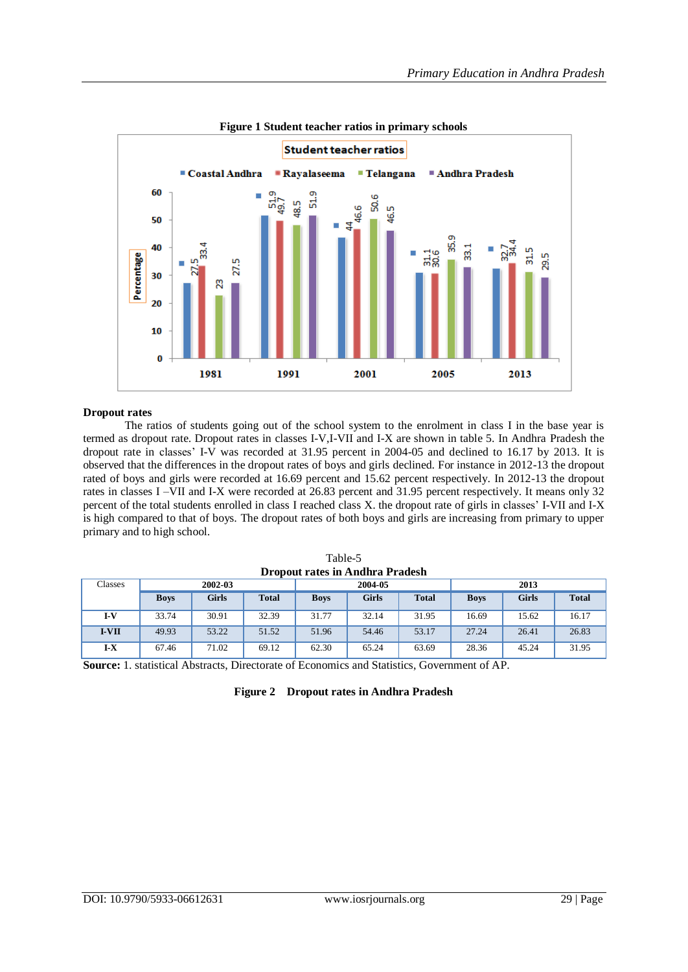

**Figure 1 Student teacher ratios in primary schools**

## **Dropout rates**

The ratios of students going out of the school system to the enrolment in class I in the base year is termed as dropout rate. Dropout rates in classes I-V,I-VII and I-X are shown in table 5. In Andhra Pradesh the dropout rate in classes' I-V was recorded at 31.95 percent in 2004-05 and declined to 16.17 by 2013. It is observed that the differences in the dropout rates of boys and girls declined. For instance in 2012-13 the dropout rated of boys and girls were recorded at 16.69 percent and 15.62 percent respectively. In 2012-13 the dropout rates in classes I –VII and I-X were recorded at 26.83 percent and 31.95 percent respectively. It means only 32 percent of the total students enrolled in class I reached class X. the dropout rate of girls in classes' I-VII and I-X is high compared to that of boys. The dropout rates of both boys and girls are increasing from primary to upper primary and to high school.

| Dropout rates in Andhra Pradesh |             |              |              |             |         |              |             |       |              |
|---------------------------------|-------------|--------------|--------------|-------------|---------|--------------|-------------|-------|--------------|
| Classes                         |             | 2002-03      |              |             | 2004-05 |              |             | 2013  |              |
|                                 | <b>Boys</b> | <b>Girls</b> | <b>Total</b> | <b>Boys</b> | Girls   | <b>Total</b> | <b>Boys</b> | Girls | <b>Total</b> |
| I-V                             | 33.74       | 30.91        | 32.39        | 31.77       | 32.14   | 31.95        | 16.69       | 15.62 | 16.17        |
| <b>I-VII</b>                    | 49.93       | 53.22        | 51.52        | 51.96       | 54.46   | 53.17        | 27.24       | 26.41 | 26.83        |
| I-X                             | 67.46       | 71.02        | 69.12        | 62.30       | 65.24   | 63.69        | 28.36       | 45.24 | 31.95        |

Table-5 **Dropout rates in Andhra Pradesh**

**Source:** 1. statistical Abstracts, Directorate of Economics and Statistics, Government of AP.

|  | Figure 2 Dropout rates in Andhra Pradesh |  |  |  |
|--|------------------------------------------|--|--|--|
|--|------------------------------------------|--|--|--|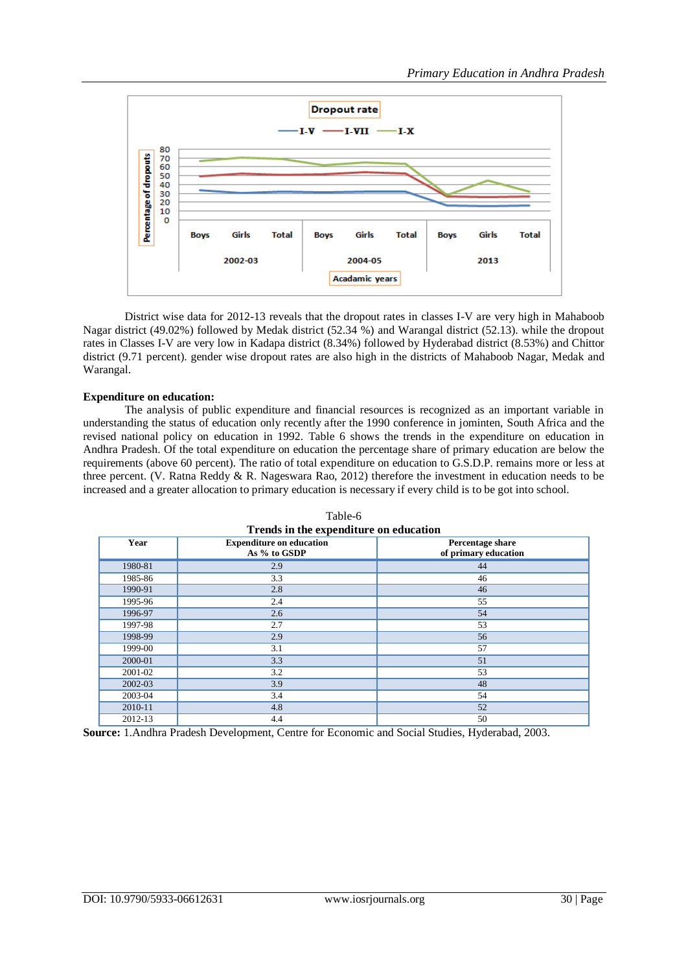

District wise data for 2012-13 reveals that the dropout rates in classes I-V are very high in Mahaboob Nagar district (49.02%) followed by Medak district (52.34 %) and Warangal district (52.13). while the dropout rates in Classes I-V are very low in Kadapa district (8.34%) followed by Hyderabad district (8.53%) and Chittor district (9.71 percent). gender wise dropout rates are also high in the districts of Mahaboob Nagar, Medak and Warangal.

## **Expenditure on education:**

The analysis of public expenditure and financial resources is recognized as an important variable in understanding the status of education only recently after the 1990 conference in jominten, South Africa and the revised national policy on education in 1992. Table 6 shows the trends in the expenditure on education in Andhra Pradesh. Of the total expenditure on education the percentage share of primary education are below the requirements (above 60 percent). The ratio of total expenditure on education to G.S.D.P. remains more or less at three percent. (V. Ratna Reddy & R. Nageswara Rao, 2012) therefore the investment in education needs to be increased and a greater allocation to primary education is necessary if every child is to be got into school.

| I rends in the expenditure on equication |                                                 |                                          |  |  |  |  |  |
|------------------------------------------|-------------------------------------------------|------------------------------------------|--|--|--|--|--|
| Year                                     | <b>Expenditure on education</b><br>As % to GSDP | Percentage share<br>of primary education |  |  |  |  |  |
| 1980-81                                  | 2.9                                             | 44                                       |  |  |  |  |  |
| 1985-86                                  | 3.3                                             | 46                                       |  |  |  |  |  |
| 1990-91                                  | 2.8                                             | 46                                       |  |  |  |  |  |
| 1995-96                                  | 2.4                                             | 55                                       |  |  |  |  |  |
| 1996-97                                  | 2.6                                             | 54                                       |  |  |  |  |  |
| 1997-98                                  | 2.7                                             | 53                                       |  |  |  |  |  |
| 1998-99                                  | 2.9                                             | 56                                       |  |  |  |  |  |
| 1999-00                                  | 3.1                                             | 57                                       |  |  |  |  |  |
| 2000-01                                  | 3.3                                             | 51                                       |  |  |  |  |  |
| 2001-02                                  | 3.2                                             | 53                                       |  |  |  |  |  |
| 2002-03                                  | 3.9                                             | 48                                       |  |  |  |  |  |
| 2003-04                                  | 3.4                                             | 54                                       |  |  |  |  |  |
| 2010-11                                  | 4.8                                             | 52                                       |  |  |  |  |  |
| 2012-13                                  | 4.4                                             | 50                                       |  |  |  |  |  |

Table-6 **Trends in the expenditure on education**

**Source:** 1.Andhra Pradesh Development, Centre for Economic and Social Studies, Hyderabad, 2003.